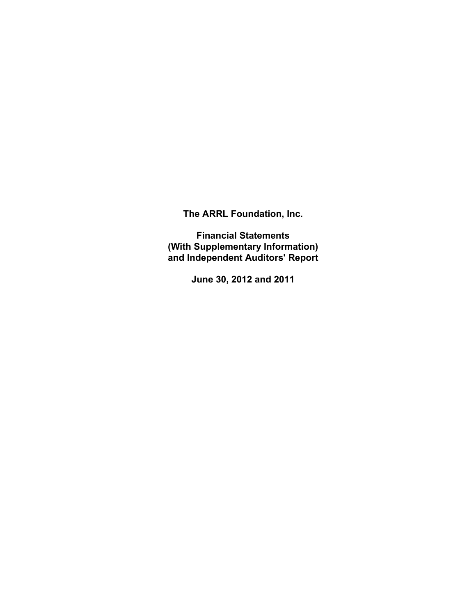**Financial Statements (With Supplementary Information) and Independent Auditors' Report** 

**June 30, 2012 and 2011**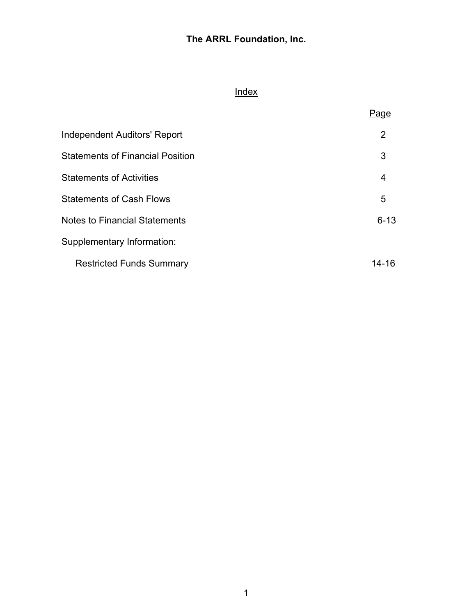# Index

|                                         | Page      |
|-----------------------------------------|-----------|
| <b>Independent Auditors' Report</b>     | 2         |
| <b>Statements of Financial Position</b> | 3         |
| <b>Statements of Activities</b>         | 4         |
| <b>Statements of Cash Flows</b>         | 5         |
| <b>Notes to Financial Statements</b>    | $6 - 13$  |
| Supplementary Information:              |           |
| <b>Restricted Funds Summary</b>         | $14 - 16$ |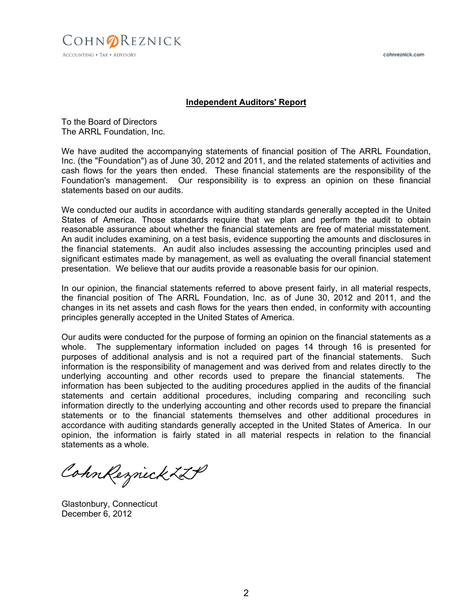

#### **Independent Auditors' Report**

To the Board of Directors The ARRL Foundation, Inc.

We have audited the accompanying statements of financial position of The ARRL Foundation, Inc. (the "Foundation") as of June 30, 2012 and 2011, and the related statements of activities and cash flows for the years then ended. These financial statements are the responsibility of the Foundation's management. Our responsibility is to express an opinion on these financial statements based on our audits.

We conducted our audits in accordance with auditing standards generally accepted in the United States of America. Those standards require that we plan and perform the audit to obtain reasonable assurance about whether the financial statements are free of material misstatement. An audit includes examining, on a test basis, evidence supporting the amounts and disclosures in the financial statements. An audit also includes assessing the accounting principles used and significant estimates made by management, as well as evaluating the overall financial statement presentation. We believe that our audits provide a reasonable basis for our opinion.

In our opinion, the financial statements referred to above present fairly, in all material respects, the financial position of The ARRL Foundation, Inc. as of June 30, 2012 and 2011, and the changes in its net assets and cash flows for the years then ended, in conformity with accounting principles generally accepted in the United States of America.

Our audits were conducted for the purpose of forming an opinion on the financial statements as a whole. The supplementary information included on pages 14 through 16 is presented for purposes of additional analysis and is not a required part of the financial statements. Such information is the responsibility of management and was derived from and relates directly to the underlying accounting and other records used to prepare the financial statements. The information has been subjected to the auditing procedures applied in the audits of the financial statements and certain additional procedures, including comparing and reconciling such information directly to the underlying accounting and other records used to prepare the financial statements or to the financial statements themselves and other additional procedures in accordance with auditing standards generally accepted in the United States of America. In our opinion, the information is fairly stated in all material respects in relation to the financial statements as a whole.

CohnReznick ZLP

Glastonbury, Connecticut December 6, 2012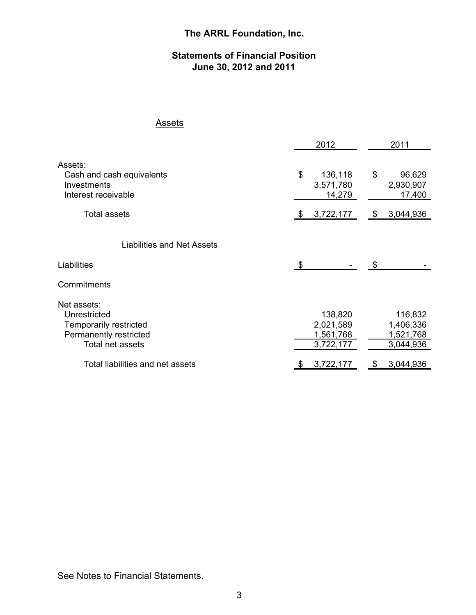# **Statements of Financial Position June 30, 2012 and 2011**

# **Assets**

|                                                                                                     | 2012                                           |                            | 2011                                           |
|-----------------------------------------------------------------------------------------------------|------------------------------------------------|----------------------------|------------------------------------------------|
| Assets:<br>Cash and cash equivalents<br>Investments<br>Interest receivable                          | \$<br>136,118<br>3,571,780<br>14,279           | \$                         | 96,629<br>2,930,907<br>17,400                  |
| <b>Total assets</b>                                                                                 | \$3,722,177                                    |                            | \$3,044,936                                    |
| <b>Liabilities and Net Assets</b><br>Liabilities                                                    | \$                                             | $\boldsymbol{\mathcal{S}}$ |                                                |
| Commitments                                                                                         |                                                |                            |                                                |
| Net assets:<br>Unrestricted<br>Temporarily restricted<br>Permanently restricted<br>Total net assets | 138,820<br>2,021,589<br>1,561,768<br>3,722,177 |                            | 116,832<br>1,406,336<br>1,521,768<br>3,044,936 |
| Total liabilities and net assets                                                                    | 3,722,177                                      |                            | 3,044,936                                      |

See Notes to Financial Statements.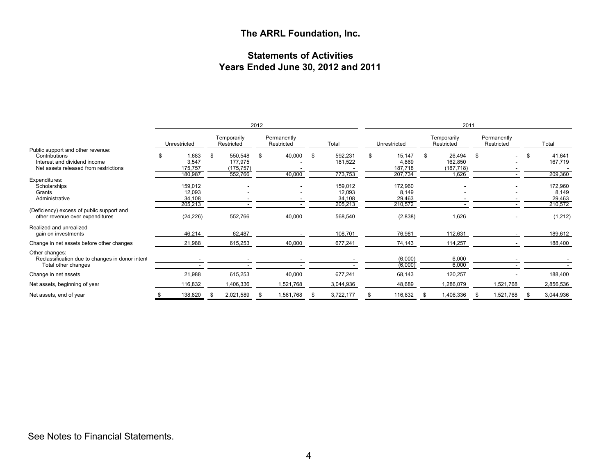# **Years Ended June 30, 2012 and 2011 Statements of Activities**

|                                                                                                                             | 2012                                        |    |                                             |     |                           |      |                                        | 2011                                  |    |                                          |     |                           |    |                                       |  |
|-----------------------------------------------------------------------------------------------------------------------------|---------------------------------------------|----|---------------------------------------------|-----|---------------------------|------|----------------------------------------|---------------------------------------|----|------------------------------------------|-----|---------------------------|----|---------------------------------------|--|
|                                                                                                                             | Unrestricted                                |    | Temporarily<br>Restricted                   |     | Permanently<br>Restricted |      | Total                                  | Unrestricted                          |    | Temporarily<br>Restricted                |     | Permanently<br>Restricted |    | Total                                 |  |
| Public support and other revenue:<br>Contributions<br>Interest and dividend income<br>Net assets released from restrictions | 1,683<br>\$.<br>3,547<br>175,757<br>180,987 | \$ | 550,548<br>177,975<br>(175, 757)<br>552,766 | \$. | 40,000<br>40,000          | \$   | 592,231<br>181,522<br>773,753          | 15,147<br>4,869<br>187,718<br>207,734 | \$ | 26,494<br>162,850<br>(187, 718)<br>1,626 | \$. |                           | \$ | 41,641<br>167,719<br>209,360          |  |
| Expenditures:<br>Scholarships<br>Grants<br>Administrative                                                                   | 159,012<br>12,093<br>34,108<br>205,213      |    |                                             |     |                           |      | 159,012<br>12,093<br>34,108<br>205,213 | 172,960<br>8,149<br>29,463<br>210,572 |    |                                          |     |                           |    | 172,960<br>8,149<br>29,463<br>210,572 |  |
| (Deficiency) excess of public support and<br>other revenue over expenditures                                                | (24, 226)                                   |    | 552,766                                     |     | 40,000                    |      | 568,540                                | (2,838)                               |    | 1,626                                    |     |                           |    | (1, 212)                              |  |
| Realized and unrealized<br>gain on investments                                                                              | 46,214                                      |    | 62,487                                      |     |                           |      | 108,701                                | 76,981                                |    | 112,631                                  |     |                           |    | 189,612                               |  |
| Change in net assets before other changes                                                                                   | 21,988                                      |    | 615,253                                     |     | 40,000                    |      | 677,241                                | 74,143                                |    | 114,257                                  |     |                           |    | 188,400                               |  |
| Other changes:<br>Reclassification due to changes in donor intent<br>Total other changes                                    |                                             |    |                                             |     |                           |      |                                        | (6,000)<br>(6,000)                    |    | 6,000<br>6,000                           |     |                           |    |                                       |  |
| Change in net assets                                                                                                        | 21,988                                      |    | 615,253                                     |     | 40,000                    |      | 677,241                                | 68,143                                |    | 120,257                                  |     |                           |    | 188,400                               |  |
| Net assets, beginning of year                                                                                               | 116,832                                     |    | ,406,336                                    |     | 1,521,768                 |      | 3,044,936                              | 48,689                                |    | 1,286,079                                |     | 1,521,768                 |    | 2,856,536                             |  |
| Net assets, end of year                                                                                                     | 138,820                                     |    | 2,021,589                                   |     | 1,561,768                 | - \$ | 3,722,177                              | 116,832                               |    | 1,406,336                                |     | 1,521,768                 |    | 3,044,936                             |  |

See Notes to Financial Statements.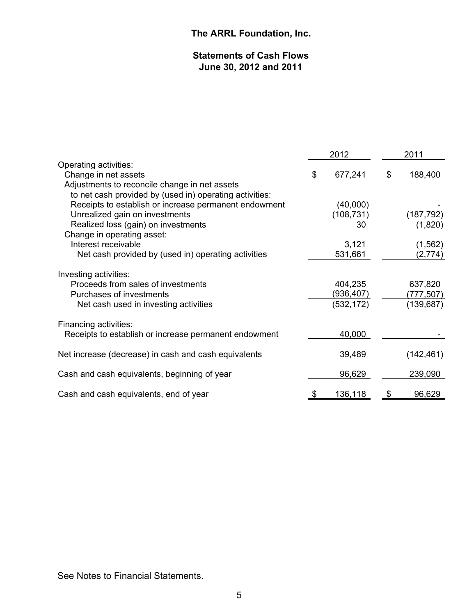# **Statements of Cash Flows June 30, 2012 and 2011**

|                                                                                                                                                           | 2012             | 2011 |                       |  |
|-----------------------------------------------------------------------------------------------------------------------------------------------------------|------------------|------|-----------------------|--|
| Operating activities:<br>Change in net assets<br>Adjustments to reconcile change in net assets<br>to net cash provided by (used in) operating activities: | \$<br>677,241    | \$   | 188,400               |  |
| Receipts to establish or increase permanent endowment                                                                                                     | (40,000)         |      |                       |  |
| Unrealized gain on investments<br>Realized loss (gain) on investments<br>Change in operating asset:                                                       | (108, 731)<br>30 |      | (187, 792)<br>(1,820) |  |
| Interest receivable                                                                                                                                       | 3,121            |      | (1, 562)              |  |
| Net cash provided by (used in) operating activities                                                                                                       | 531,661          |      | (2,774)               |  |
| Investing activities:                                                                                                                                     |                  |      |                       |  |
| Proceeds from sales of investments                                                                                                                        | 404,235          |      | 637,820               |  |
| Purchases of investments                                                                                                                                  | (936,407)        |      | (777,507)             |  |
| Net cash used in investing activities                                                                                                                     | (532,172)        |      | (139,687)             |  |
| Financing activities:                                                                                                                                     |                  |      |                       |  |
| Receipts to establish or increase permanent endowment                                                                                                     | 40,000           |      |                       |  |
| Net increase (decrease) in cash and cash equivalents                                                                                                      | 39,489           |      | (142, 461)            |  |
| Cash and cash equivalents, beginning of year                                                                                                              | 96,629           |      | 239,090               |  |
| Cash and cash equivalents, end of year                                                                                                                    | <u>136,118</u>   |      | 96,629                |  |

See Notes to Financial Statements.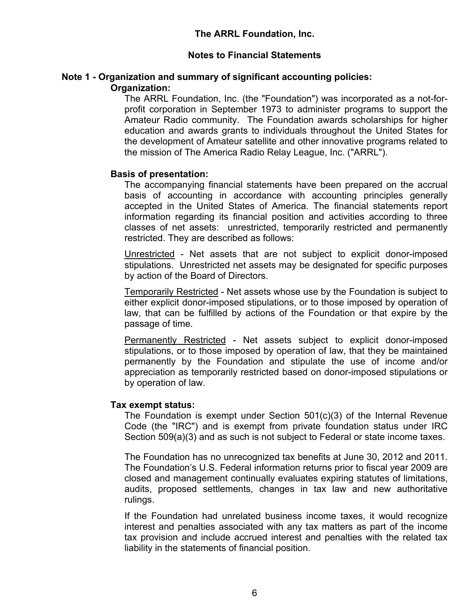# **Notes to Financial Statements**

### **Note 1 - Organization and summary of significant accounting policies: Organization:**

The ARRL Foundation, Inc. (the "Foundation") was incorporated as a not-forprofit corporation in September 1973 to administer programs to support the Amateur Radio community. The Foundation awards scholarships for higher education and awards grants to individuals throughout the United States for the development of Amateur satellite and other innovative programs related to the mission of The America Radio Relay League, Inc. ("ARRL").

### **Basis of presentation:**

The accompanying financial statements have been prepared on the accrual basis of accounting in accordance with accounting principles generally accepted in the United States of America. The financial statements report information regarding its financial position and activities according to three classes of net assets: unrestricted, temporarily restricted and permanently restricted. They are described as follows:

Unrestricted - Net assets that are not subject to explicit donor-imposed stipulations. Unrestricted net assets may be designated for specific purposes by action of the Board of Directors.

Temporarily Restricted - Net assets whose use by the Foundation is subject to either explicit donor-imposed stipulations, or to those imposed by operation of law, that can be fulfilled by actions of the Foundation or that expire by the passage of time.

Permanently Restricted - Net assets subject to explicit donor-imposed stipulations, or to those imposed by operation of law, that they be maintained permanently by the Foundation and stipulate the use of income and/or appreciation as temporarily restricted based on donor-imposed stipulations or by operation of law.

# **Tax exempt status:**

The Foundation is exempt under Section 501(c)(3) of the Internal Revenue Code (the "IRC") and is exempt from private foundation status under IRC Section 509(a)(3) and as such is not subject to Federal or state income taxes.

The Foundation has no unrecognized tax benefits at June 30, 2012 and 2011. The Foundation's U.S. Federal information returns prior to fiscal year 2009 are closed and management continually evaluates expiring statutes of limitations, audits, proposed settlements, changes in tax law and new authoritative rulings.

If the Foundation had unrelated business income taxes, it would recognize interest and penalties associated with any tax matters as part of the income tax provision and include accrued interest and penalties with the related tax liability in the statements of financial position.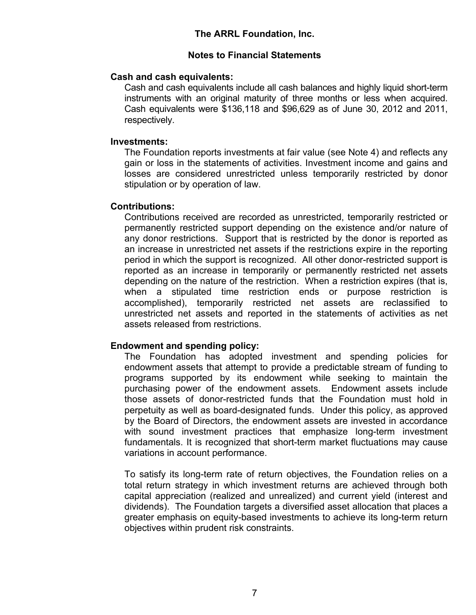# **Notes to Financial Statements**

# **Cash and cash equivalents:**

Cash and cash equivalents include all cash balances and highly liquid short-term instruments with an original maturity of three months or less when acquired. Cash equivalents were \$136,118 and \$96,629 as of June 30, 2012 and 2011, respectively.

### **Investments:**

The Foundation reports investments at fair value (see Note 4) and reflects any gain or loss in the statements of activities. Investment income and gains and losses are considered unrestricted unless temporarily restricted by donor stipulation or by operation of law.

# **Contributions:**

Contributions received are recorded as unrestricted, temporarily restricted or permanently restricted support depending on the existence and/or nature of any donor restrictions. Support that is restricted by the donor is reported as an increase in unrestricted net assets if the restrictions expire in the reporting period in which the support is recognized. All other donor-restricted support is reported as an increase in temporarily or permanently restricted net assets depending on the nature of the restriction. When a restriction expires (that is, when a stipulated time restriction ends or purpose restriction is accomplished), temporarily restricted net assets are reclassified to unrestricted net assets and reported in the statements of activities as net assets released from restrictions.

# **Endowment and spending policy:**

The Foundation has adopted investment and spending policies for endowment assets that attempt to provide a predictable stream of funding to programs supported by its endowment while seeking to maintain the purchasing power of the endowment assets. Endowment assets include those assets of donor-restricted funds that the Foundation must hold in perpetuity as well as board-designated funds. Under this policy, as approved by the Board of Directors, the endowment assets are invested in accordance with sound investment practices that emphasize long-term investment fundamentals. It is recognized that short-term market fluctuations may cause variations in account performance.

To satisfy its long-term rate of return objectives, the Foundation relies on a total return strategy in which investment returns are achieved through both capital appreciation (realized and unrealized) and current yield (interest and dividends). The Foundation targets a diversified asset allocation that places a greater emphasis on equity-based investments to achieve its long-term return objectives within prudent risk constraints.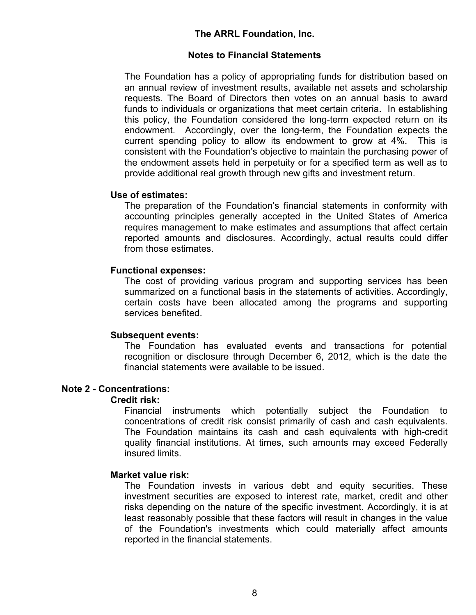### **Notes to Financial Statements**

The Foundation has a policy of appropriating funds for distribution based on an annual review of investment results, available net assets and scholarship requests. The Board of Directors then votes on an annual basis to award funds to individuals or organizations that meet certain criteria. In establishing this policy, the Foundation considered the long-term expected return on its endowment. Accordingly, over the long-term, the Foundation expects the current spending policy to allow its endowment to grow at 4%. This is consistent with the Foundation's objective to maintain the purchasing power of the endowment assets held in perpetuity or for a specified term as well as to provide additional real growth through new gifts and investment return.

#### **Use of estimates:**

The preparation of the Foundation's financial statements in conformity with accounting principles generally accepted in the United States of America requires management to make estimates and assumptions that affect certain reported amounts and disclosures. Accordingly, actual results could differ from those estimates.

#### **Functional expenses:**

The cost of providing various program and supporting services has been summarized on a functional basis in the statements of activities. Accordingly, certain costs have been allocated among the programs and supporting services benefited.

#### **Subsequent events:**

The Foundation has evaluated events and transactions for potential recognition or disclosure through December 6, 2012, which is the date the financial statements were available to be issued.

# **Note 2 - Concentrations:**

#### **Credit risk:**

Financial instruments which potentially subject the Foundation to concentrations of credit risk consist primarily of cash and cash equivalents. The Foundation maintains its cash and cash equivalents with high-credit quality financial institutions. At times, such amounts may exceed Federally insured limits.

#### **Market value risk:**

The Foundation invests in various debt and equity securities. These investment securities are exposed to interest rate, market, credit and other risks depending on the nature of the specific investment. Accordingly, it is at least reasonably possible that these factors will result in changes in the value of the Foundation's investments which could materially affect amounts reported in the financial statements.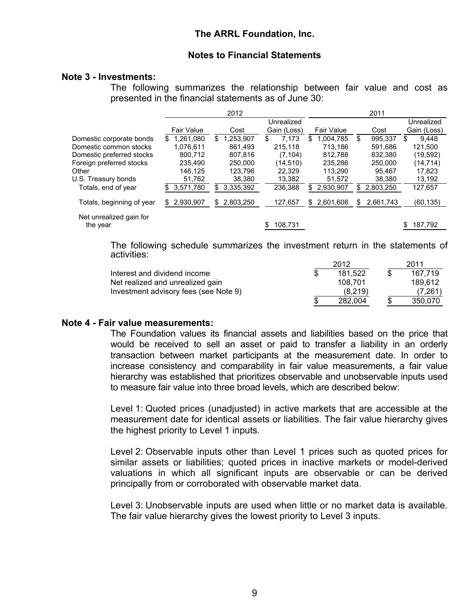#### **Notes to Financial Statements**

#### **Note 3 - Investments:**

The following summarizes the relationship between fair value and cost as presented in the financial statements as of June 30:

|                           |                   | 2012            |             |                   | 2011             |               |
|---------------------------|-------------------|-----------------|-------------|-------------------|------------------|---------------|
|                           |                   |                 | Unrealized  |                   |                  | Unrealized    |
|                           | <b>Fair Value</b> | Cost            | Gain (Loss) | <b>Fair Value</b> | Cost             | Gain (Loss)   |
| Domestic corporate bonds  | 1.261.080<br>\$.  | 1.253.907<br>\$ | 7.173<br>\$ | 1.004.785<br>S    | 995.337<br>\$    | 9,448<br>\$   |
| Domestic common stocks    | 1.076.611         | 861.493         | 215.118     | 713.186           | 591.686          | 121.500       |
| Domestic preferred stocks | 800.712           | 807.816         | (7.104)     | 812.788           | 832,380          | (19,592)      |
| Foreign preferred stocks  | 235.490           | 250,000         | (14,510)    | 235.286           | 250,000          | (14, 714)     |
| Other                     | 146.125           | 123.796         | 22.329      | 113.290           | 95.467           | 17.823        |
| U.S. Treasury bonds       | 51,762            | 38.380          | 13.382      | 51,572            | 38.380           | 13,192        |
| Totals, end of year       | 3,571,780         | 3,335,392       | 236,388     | 2,930,907<br>S    | 2,803,250<br>SS. | 127,657       |
| Totals, beginning of year | \$ 2,930,907      | 2,803,250<br>S. | 127,657     | 2,601,608<br>S    | 2,661,743<br>S   | (60,135)      |
| Net unrealized gain for   |                   |                 |             |                   |                  |               |
| the year                  |                   |                 | 108.731     |                   |                  | 187,792<br>\$ |

The following schedule summarizes the investment return in the statements of activities:

|                                       |    | 2011    |         |  |
|---------------------------------------|----|---------|---------|--|
| Interest and dividend income          | S  | 181.522 | 167.719 |  |
| Net realized and unrealized gain      |    | 108.701 | 189.612 |  |
| Investment advisory fees (see Note 9) |    | (8.219) | (7,261) |  |
|                                       | \$ | 282.004 | 350,070 |  |

#### **Note 4 - Fair value measurements:**

The Foundation values its financial assets and liabilities based on the price that would be received to sell an asset or paid to transfer a liability in an orderly transaction between market participants at the measurement date. In order to increase consistency and comparability in fair value measurements, a fair value hierarchy was established that prioritizes observable and unobservable inputs used to measure fair value into three broad levels, which are described below:

Level 1: Quoted prices (unadjusted) in active markets that are accessible at the measurement date for identical assets or liabilities. The fair value hierarchy gives the highest priority to Level 1 inputs.

Level 2: Observable inputs other than Level 1 prices such as quoted prices for similar assets or liabilities; quoted prices in inactive markets or model-derived valuations in which all significant inputs are observable or can be derived principally from or corroborated with observable market data.

Level 3: Unobservable inputs are used when little or no market data is available. The fair value hierarchy gives the lowest priority to Level 3 inputs.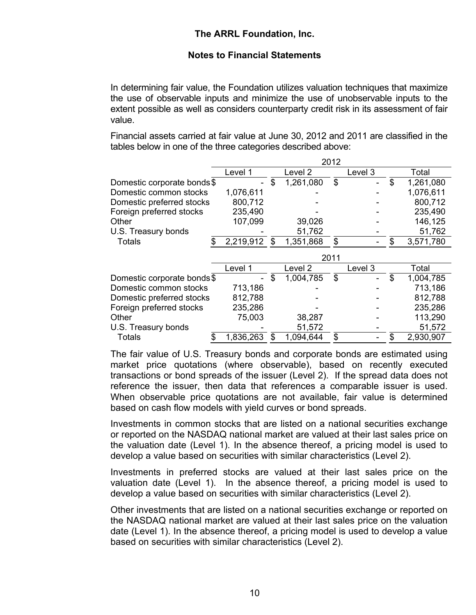# **Notes to Financial Statements**

In determining fair value, the Foundation utilizes valuation techniques that maximize the use of observable inputs and minimize the use of unobservable inputs to the extent possible as well as considers counterparty credit risk in its assessment of fair value.

Financial assets carried at fair value at June 30, 2012 and 2011 are classified in the tables below in one of the three categories described above:

|                            |           | 2012     |           |    |         |    |           |  |  |  |  |  |
|----------------------------|-----------|----------|-----------|----|---------|----|-----------|--|--|--|--|--|
|                            | Level 1   |          | Level 2   |    | Level 3 |    | Total     |  |  |  |  |  |
| Domestic corporate bonds\$ |           | - \$     | 1,261,080 | \$ |         | \$ | 1,261,080 |  |  |  |  |  |
| Domestic common stocks     | 1,076,611 |          |           |    |         |    | 1,076,611 |  |  |  |  |  |
| Domestic preferred stocks  | 800,712   |          |           |    |         |    | 800,712   |  |  |  |  |  |
| Foreign preferred stocks   | 235,490   |          |           |    |         |    | 235,490   |  |  |  |  |  |
| Other                      | 107,099   |          | 39,026    |    |         |    | 146,125   |  |  |  |  |  |
| U.S. Treasury bonds        |           |          | 51,762    |    |         |    | 51,762    |  |  |  |  |  |
| Totals                     | 2,219,912 | <b>S</b> | 1,351,868 | \$ |         | \$ | 3,571,780 |  |  |  |  |  |
|                            | 2011      |          |           |    |         |    |           |  |  |  |  |  |
|                            | Level 1   |          | Level 2   |    | Level 3 |    | Total     |  |  |  |  |  |
| Domestic corporate bonds\$ |           | -\$      | 1,004,785 | \$ |         | \$ | 1,004,785 |  |  |  |  |  |
| Domestic common stocks     | 713,186   |          |           |    |         |    | 713,186   |  |  |  |  |  |
| Domestic preferred stocks  | 812,788   |          |           |    |         |    | 812,788   |  |  |  |  |  |
| Foreign preferred stocks   | 235,286   |          |           |    |         |    | 235,286   |  |  |  |  |  |
| Other                      | 75,003    |          | 38,287    |    |         |    | 113,290   |  |  |  |  |  |
| U.S. Treasury bonds        |           |          | 51,572    |    |         |    | 51,572    |  |  |  |  |  |
| <b>Totals</b><br>\$        | 1,836,263 | \$       | 1,094,644 | \$ |         |    | 2,930,907 |  |  |  |  |  |

The fair value of U.S. Treasury bonds and corporate bonds are estimated using market price quotations (where observable), based on recently executed transactions or bond spreads of the issuer (Level 2). If the spread data does not reference the issuer, then data that references a comparable issuer is used. When observable price quotations are not available, fair value is determined based on cash flow models with yield curves or bond spreads.

Investments in common stocks that are listed on a national securities exchange or reported on the NASDAQ national market are valued at their last sales price on the valuation date (Level 1). In the absence thereof, a pricing model is used to develop a value based on securities with similar characteristics (Level 2).

Investments in preferred stocks are valued at their last sales price on the valuation date (Level 1). In the absence thereof, a pricing model is used to develop a value based on securities with similar characteristics (Level 2).

Other investments that are listed on a national securities exchange or reported on the NASDAQ national market are valued at their last sales price on the valuation date (Level 1). In the absence thereof, a pricing model is used to develop a value based on securities with similar characteristics (Level 2).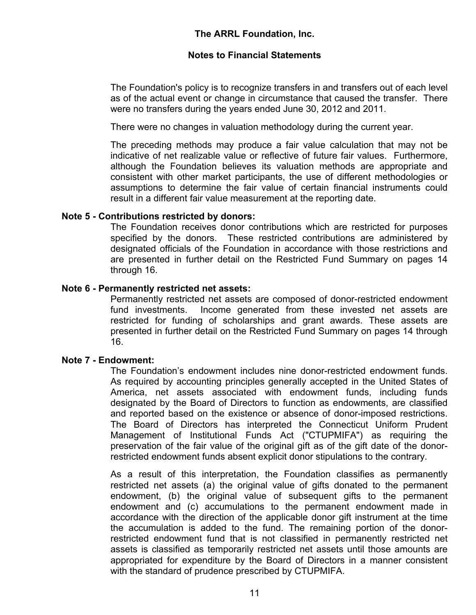# **Notes to Financial Statements**

The Foundation's policy is to recognize transfers in and transfers out of each level as of the actual event or change in circumstance that caused the transfer. There were no transfers during the years ended June 30, 2012 and 2011.

There were no changes in valuation methodology during the current year.

The preceding methods may produce a fair value calculation that may not be indicative of net realizable value or reflective of future fair values. Furthermore, although the Foundation believes its valuation methods are appropriate and consistent with other market participants, the use of different methodologies or assumptions to determine the fair value of certain financial instruments could result in a different fair value measurement at the reporting date.

# **Note 5 - Contributions restricted by donors:**

The Foundation receives donor contributions which are restricted for purposes specified by the donors. These restricted contributions are administered by designated officials of the Foundation in accordance with those restrictions and are presented in further detail on the Restricted Fund Summary on pages 14 through 16.

### **Note 6 - Permanently restricted net assets:**

Permanently restricted net assets are composed of donor-restricted endowment fund investments. Income generated from these invested net assets are restricted for funding of scholarships and grant awards. These assets are presented in further detail on the Restricted Fund Summary on pages 14 through 16.

#### **Note 7 - Endowment:**

The Foundation's endowment includes nine donor-restricted endowment funds. As required by accounting principles generally accepted in the United States of America, net assets associated with endowment funds, including funds designated by the Board of Directors to function as endowments, are classified and reported based on the existence or absence of donor-imposed restrictions. The Board of Directors has interpreted the Connecticut Uniform Prudent Management of Institutional Funds Act ("CTUPMIFA") as requiring the preservation of the fair value of the original gift as of the gift date of the donorrestricted endowment funds absent explicit donor stipulations to the contrary.

As a result of this interpretation, the Foundation classifies as permanently restricted net assets (a) the original value of gifts donated to the permanent endowment, (b) the original value of subsequent gifts to the permanent endowment and (c) accumulations to the permanent endowment made in accordance with the direction of the applicable donor gift instrument at the time the accumulation is added to the fund. The remaining portion of the donorrestricted endowment fund that is not classified in permanently restricted net assets is classified as temporarily restricted net assets until those amounts are appropriated for expenditure by the Board of Directors in a manner consistent with the standard of prudence prescribed by CTUPMIFA.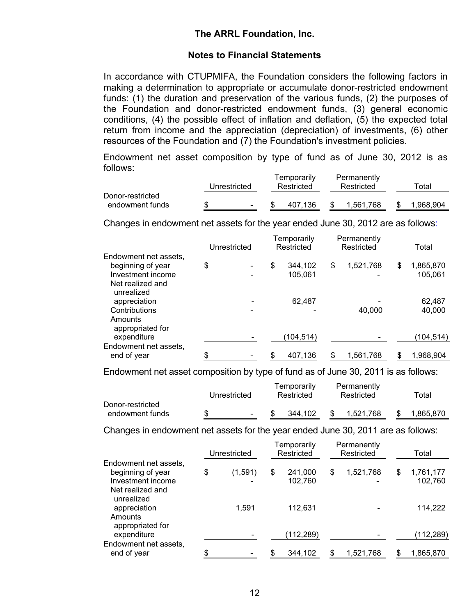### **Notes to Financial Statements**

In accordance with CTUPMIFA, the Foundation considers the following factors in making a determination to appropriate or accumulate donor-restricted endowment funds: (1) the duration and preservation of the various funds, (2) the purposes of the Foundation and donor-restricted endowment funds, (3) general economic conditions, (4) the possible effect of inflation and deflation, (5) the expected total return from income and the appreciation (depreciation) of investments, (6) other resources of the Foundation and (7) the Foundation's investment policies.

Endowment net asset composition by type of fund as of June 30, 2012 is as follows:

|                  |   |                          |  | Temporarily |  | Permanently |  |          |
|------------------|---|--------------------------|--|-------------|--|-------------|--|----------|
|                  |   | Unrestricted             |  | Restricted  |  | Restricted  |  | Total    |
| Donor-restricted |   |                          |  |             |  |             |  |          |
| endowment funds  | S | $\overline{\phantom{0}}$ |  | 407.136     |  | 1.561.768   |  | .968.904 |

Changes in endowment net assets for the year ended June 30, 2012 are as follows:

|                                | Unrestricted |    | Temporarily<br>Restricted | Permanently<br>Restricted | Total           |  |
|--------------------------------|--------------|----|---------------------------|---------------------------|-----------------|--|
| Endowment net assets,          |              |    |                           |                           |                 |  |
| beginning of year              | \$           | \$ | 344,102                   | \$<br>1,521,768           | \$<br>1,865,870 |  |
| Investment income              |              |    | 105,061                   |                           | 105,061         |  |
| Net realized and<br>unrealized |              |    |                           |                           |                 |  |
| appreciation                   |              |    | 62,487                    |                           | 62,487          |  |
| Contributions                  |              |    |                           | 40,000                    | 40,000          |  |
| Amounts<br>appropriated for    |              |    |                           |                           |                 |  |
| expenditure                    |              |    | (104,514)                 |                           | (104, 514)      |  |
| Endowment net assets,          |              |    |                           |                           |                 |  |
| end of year                    | \$           | \$ | 407,136                   | 1,561,768                 | 1,968,904       |  |
|                                |              |    |                           |                           |                 |  |

Endowment net asset composition by type of fund as of June 30, 2011 is as follows:

|                                     | Unrestricted |        | Temporarily<br>Restricted | Permanently<br>Restricted | ™otal     |
|-------------------------------------|--------------|--------|---------------------------|---------------------------|-----------|
|                                     |              |        |                           |                           |           |
| Donor-restricted<br>endowment funds | S            | $\sim$ | 344.102                   | 1.521.768                 | 1.865.870 |

Changes in endowment net assets for the year ended June 30, 2011 are as follows:

|                                                                          | Unrestricted  | Temporarily<br>Restricted |   | Permanently<br>Restricted | Total |                      |
|--------------------------------------------------------------------------|---------------|---------------------------|---|---------------------------|-------|----------------------|
| Endowment net assets,                                                    |               |                           |   |                           |       |                      |
| beginning of year<br>Investment income<br>Net realized and<br>unrealized | \$<br>(1,591) | \$<br>241,000<br>102,760  | S | 1,521,768                 | \$    | 1,761,177<br>102,760 |
| appreciation<br>Amounts<br>appropriated for                              | 1,591         | 112,631                   |   |                           |       | 114,222              |
| expenditure<br>Endowment net assets,                                     |               | (112,289)                 |   |                           |       | (112,289)            |
| end of year                                                              |               | \$<br>344,102             |   | 1,521,768                 |       | 1,865,870            |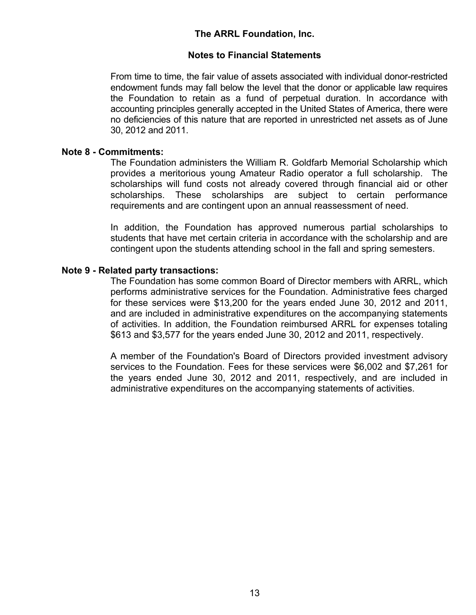# **Notes to Financial Statements**

From time to time, the fair value of assets associated with individual donor-restricted endowment funds may fall below the level that the donor or applicable law requires the Foundation to retain as a fund of perpetual duration. In accordance with accounting principles generally accepted in the United States of America, there were no deficiencies of this nature that are reported in unrestricted net assets as of June 30, 2012 and 2011.

### **Note 8 - Commitments:**

The Foundation administers the William R. Goldfarb Memorial Scholarship which provides a meritorious young Amateur Radio operator a full scholarship. The scholarships will fund costs not already covered through financial aid or other scholarships. These scholarships are subject to certain performance requirements and are contingent upon an annual reassessment of need.

In addition, the Foundation has approved numerous partial scholarships to students that have met certain criteria in accordance with the scholarship and are contingent upon the students attending school in the fall and spring semesters.

# **Note 9 - Related party transactions:**

The Foundation has some common Board of Director members with ARRL, which performs administrative services for the Foundation. Administrative fees charged for these services were \$13,200 for the years ended June 30, 2012 and 2011, and are included in administrative expenditures on the accompanying statements of activities. In addition, the Foundation reimbursed ARRL for expenses totaling \$613 and \$3,577 for the years ended June 30, 2012 and 2011, respectively.

A member of the Foundation's Board of Directors provided investment advisory services to the Foundation. Fees for these services were \$6,002 and \$7,261 for the years ended June 30, 2012 and 2011, respectively, and are included in administrative expenditures on the accompanying statements of activities.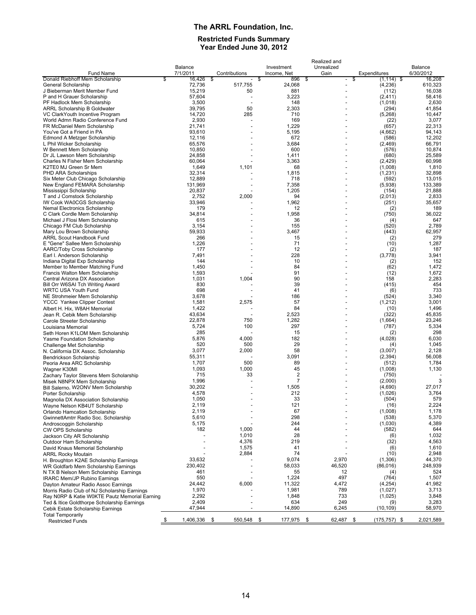#### **Restricted Funds Summary Year Ended June 30, 2012**

|                                                                                     |                        |                |                           | Realized and       |                              |                      |
|-------------------------------------------------------------------------------------|------------------------|----------------|---------------------------|--------------------|------------------------------|----------------------|
| <b>Fund Name</b>                                                                    | Balance<br>7/1/2011    | Contributions  | Investment<br>Income, Net | Unrealized<br>Gain | Expenditures                 | Balance<br>6/30/2012 |
| Donald Riebhoff Mem Scholarship<br>General Scholarship                              | \$<br>16,426<br>72,736 | \$<br>517,755  | \$<br>896<br>24,068       | \$                 | \$<br>(1,114) \$<br>(4, 236) | 16,208<br>610,323    |
| J Bieberman Merit Member Fund                                                       | 15,219                 | 50             | 881                       |                    | (112)                        | 16,038               |
| P and H Grauer Scholarship                                                          | 57,604                 |                | 3,223                     |                    | (2, 411)                     | 58,416               |
| PF Hadlock Mem Scholarship                                                          | 3,500                  |                | 148                       |                    | (1,018)                      | 2,630                |
| <b>ARRL Scholarship B Goldwater</b><br>VC ClarkYouth Incentive Program              | 39,795<br>14,720       | 50<br>285      | 2,303<br>710              |                    | (294)<br>(5,268)             | 41,854<br>10,447     |
| World Admn Radio Conference Fund                                                    | 2,930                  |                | 169                       |                    | (22)                         | 3,077                |
| FR McDaniel Mem Scholarship                                                         | 21,741                 |                | 1,229                     |                    | (657)                        | 22,313               |
| You've Got a Friend in PA                                                           | 93.610                 |                | 5,195                     |                    | (4,662)                      | 94,143               |
| Edmond A Metzger Scholarship<br>L Phil Wicker Scholarship                           | 12,116<br>65,576       |                | 672<br>3,684              |                    | (586)<br>(2, 469)            | 12,202<br>66,791     |
| W Bennett Mem Scholarship                                                           | 10,850                 |                | 600                       |                    | (576)                        | 10,874               |
| Dr JL Lawson Mem Scholarship                                                        | 24,858                 |                | 1,411                     |                    | (680)                        | 25,589               |
| Charles N Fisher Mem Scholarship<br>K2TE0 MJ Green Sr Mem                           | 60,064<br>1,649        | 1,101          | 3,363<br>68               |                    | (2, 429)<br>(1,008)          | 60,998<br>1,810      |
| PHD ARA Scholarships                                                                | 32,314                 |                | 1,815                     |                    | (1,231)                      | 32,898               |
| Six Meter Club Chicago Scholarship                                                  | 12,889                 |                | 718                       |                    | (592)                        | 13,015               |
| New England FEMARA Scholarship                                                      | 131,969                |                | 7,358                     |                    | (5,938)                      | 133,389              |
| Mississippi Scholarship<br>T and J Comstock Scholarship                             | 20,837<br>2,752        | 2,000          | 1,205<br>94               |                    | (154)<br>(2,013)             | 21,888<br>2,833      |
| <b>IW Cook WA0CGS Scholarship</b>                                                   | 33,946                 |                | 1,962                     |                    | (251)                        | 35,657               |
| Nemal Electronics Scholarship                                                       | 179                    |                | 12                        |                    | (2)                          | 189                  |
| C Clark Cordle Mem Scholarship                                                      | 34,814                 |                | 1,958                     |                    | (750)                        | 36,022               |
| Michael J Flosi Mem Scholarship<br>Chicago FM Club Scholarship                      | 615<br>3,154           |                | 36<br>155                 |                    | (4)<br>(520)                 | 647<br>2,789         |
| Mary Lou Brown Scholarship                                                          | 59,933                 |                | 3,467                     |                    | (443)                        | 62,957               |
| <b>ARRL Scout Handbook Fund</b>                                                     | 266                    |                | 15                        |                    | (2)                          | 279                  |
| E "Gene" Sallee Mem Scholarship                                                     | 1,226                  |                | 71                        |                    | (10)                         | 1,287                |
| AARC/Toby Cross Scholarship<br>Earl I. Anderson Scholarship                         | 177<br>7,491           |                | 12<br>228                 |                    | (2)<br>(3,778)               | 187<br>3,941         |
| Indiana Digital Exp Scholarship                                                     | 144                    |                | 10                        |                    | (2)                          | 152                  |
| Member to Member Matching Fund                                                      | 1,450                  |                | 84                        |                    | (62)                         | 1,472                |
| Francis Walton Mem Scholarship                                                      | 1,593                  |                | 91                        |                    | (12)                         | 1,672                |
| Central Arizona DX Association<br>Bill Orr W6SAI Tch Writing Award                  | 1,031<br>830           | 1,004          | 90<br>39                  |                    | 158<br>(415)                 | 2,283<br>454         |
| <b>WRTC USA Youth Fund</b>                                                          | 698                    |                | 41                        |                    | (6)                          | 733                  |
| NE Strohmeier Mem Scholarship                                                       | 3,678                  |                | 186                       |                    | (524)                        | 3,340                |
| <b>YCCC Yankee Clipper Contest</b>                                                  | 1,581                  | 2,575          | 57                        |                    | (1,212)                      | 3,001                |
| Albert H. Hix, W8AH Memorial                                                        | 1,422<br>43,634        |                | 84<br>2,523               |                    | (10)<br>(322)                | 1,496<br>45,835      |
| Jean R. Cebik Mem Scholarship<br>Carole Streeter Scholarship                        | 22,878                 | 750            | 1,282                     |                    | (1,664)                      | 23,246               |
| Louisiana Memorial                                                                  | 5,724                  | 100            | 297                       |                    | (787)                        | 5,334                |
| Seth Horen K1LOM Mem Scholarship                                                    | 285                    |                | 15                        |                    | (2)                          | 298                  |
| Yasme Foundation Scholarship                                                        | 5,876                  | 4,000          | 182                       |                    | (4,028)                      | 6,030                |
| Challenge Met Scholarship<br>N. California DX Assoc. Scholarship                    | 520<br>3,077           | 500<br>2,000   | 29<br>58                  |                    | (4)<br>(3,007)               | 1,045<br>2,128       |
| Bendrickson Scholarship                                                             | 55,311                 |                | 3,091                     |                    | (2, 394)                     | 56,008               |
| Peoria Area ARC Scholarship                                                         | 1,707                  | 500            | 89                        |                    | (512)                        | 1,784                |
| Wagner K30MI                                                                        | 1,093                  | 1,000          | 45                        |                    | (1,008)                      | 1,130                |
| Zachary Taylor Stevens Mem Scholarship                                              | 715                    | 33             | 2                         |                    | (750)                        |                      |
| Misek N8NPX Mem Scholarship<br>Bill Salerno, W2ONV Mem Scholarship                  | 1,996<br>30,202        |                | $\overline{7}$<br>1,505   |                    | (2,000)<br>(4,690)           | 3<br>27,017          |
| Porter Scholarship                                                                  | 4,578                  |                | 212                       |                    | (1,026)                      | 3,764                |
| Magnolia DX Association Scholarship                                                 | 1,050                  |                | 33                        |                    | (504)                        | 579                  |
| Wayne Nelson KB4UT Scholarship                                                      | 2,119                  |                | 121                       |                    | (16)                         | 2,224                |
| Orlando Hamcation Scholarship                                                       | 2,119<br>5,610         |                | 67<br>298                 |                    | (1,008)<br>(538)             | 1,178<br>5,370       |
| GwinnettAmtrr Radio Soc. Scholarship<br>Androscoggin Scholarship                    | 5,175                  |                | 244                       |                    | (1,030)                      | 4,389                |
| CW OPS Scholarship                                                                  | 182                    | 1,000          | 44                        |                    | (582)                        | 644                  |
| Jackson City AR Scholarship                                                         |                        | 1,010          | 28                        |                    | (6)                          | 1,032                |
| Outdoor Ham Scholarship                                                             |                        | 4,376          | 219                       |                    | (32)                         | 4,563                |
| David Knaus Memorial Scholarship<br><b>ARRL Rocky Moutain</b>                       |                        | 1,575<br>2,884 | 41<br>74                  |                    | (6)<br>(10)                  | 1,610<br>2,948       |
| H. Broughton K2AE Scholarship Earnings                                              | 33,632                 |                | 9,074                     | 2,970              | (1,306)                      | 44,370               |
| WR Goldfarb Mem Scholarship Earnings                                                | 230,402                |                | 58,033                    | 46,520             | (86, 016)                    | 248,939              |
| N TX B Nelson Mem Scholarship Earnings                                              | 461                    |                | 55                        | 12                 | (4)                          | 524                  |
| <b>IRARC Mem/JP Rubino Earnings</b>                                                 | 550                    |                | 1,224                     | 497                | (764)                        | 1,507                |
| Dayton Amateur Radio Assoc Earnings<br>Morris Radio Club of NJ Scholarship Earnings | 24,442<br>1,970        | 6,000          | 11,322<br>1,981           | 4,472<br>789       | (4,254)<br>(1,027)           | 41,982<br>3,713      |
| Ray N0RP & Katie W0KTE Pautz Memorial Earning                                       | 2,292                  |                | 1,848                     | 733                | (1,025)                      | 3,848                |
| Ted & Itice Goldthorpe Scholarship Earnings                                         | 2,409                  |                | 634                       | 249                | (9)                          | 3,283                |
| Cebik Estate Scholarship Earnings                                                   | 47,944                 |                | 14,890                    | 6,245              | (10, 109)                    | 58,970               |
| <b>Total Temporarily</b><br><b>Restricted Funds</b>                                 | 1,406,336<br>\$        | 550,548<br>\$  | \$<br>177,975             | 62,487<br>\$       | \$<br>$(175, 757)$ \$        | 2,021,589            |
|                                                                                     |                        |                |                           |                    |                              |                      |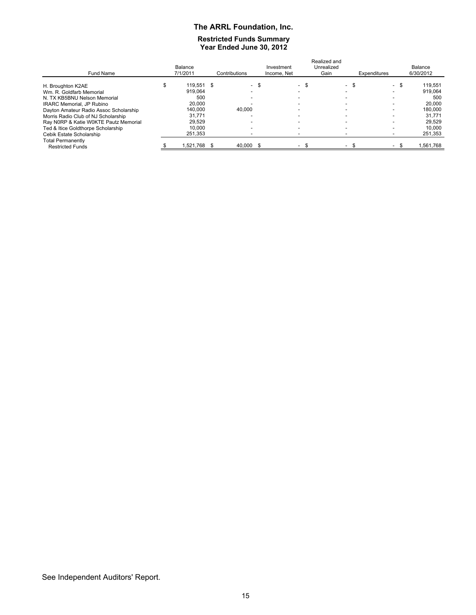#### **Restricted Funds Summary Year Ended June 30, 2012**

| Fund Name                                                                                                                                                                                                                                                                                                     | Balance<br>7/1/2011                                                                        | Contributions                                   | Investment<br>Income, Net | Realized and<br>Unrealized<br>Gain |                                                                                                                                                  | Expenditures                                                                                                                                                                 | Balance<br>6/30/2012                                                                    |
|---------------------------------------------------------------------------------------------------------------------------------------------------------------------------------------------------------------------------------------------------------------------------------------------------------------|--------------------------------------------------------------------------------------------|-------------------------------------------------|---------------------------|------------------------------------|--------------------------------------------------------------------------------------------------------------------------------------------------|------------------------------------------------------------------------------------------------------------------------------------------------------------------------------|-----------------------------------------------------------------------------------------|
| H. Broughton K2AE<br>Wm. R. Goldfarb Memorial<br>N. TX KB5BNU Nelson Memorial<br><b>IRARC Memorial, JP Rubino</b><br>Davton Amateur Radio Assoc Scholarship<br>Morris Radio Club of NJ Scholarship<br>Ray NORP & Katie WOKTE Pautz Memorial<br>Ted & Itice Goldthorpe Scholarship<br>Cebik Estate Scholarship | 119.551 \$<br>919.064<br>500<br>20,000<br>140.000<br>31.771<br>29.529<br>10.000<br>251.353 | - \$<br>40,000<br>-<br>$\overline{\phantom{a}}$ | -                         | - \$                               | - \$<br>$\overline{\phantom{0}}$<br>$\overline{\phantom{0}}$<br>$\overline{\phantom{0}}$<br>$\overline{\phantom{0}}$<br>$\overline{\phantom{0}}$ | - \$<br>$\overline{\phantom{0}}$<br>$\overline{\phantom{0}}$<br>$\overline{\phantom{0}}$<br>$\overline{\phantom{0}}$<br>$\overline{\phantom{0}}$<br>$\overline{\phantom{0}}$ | 119.551<br>919.064<br>500<br>20,000<br>180.000<br>31.771<br>29.529<br>10.000<br>251,353 |
| <b>Total Permanently</b><br><b>Restricted Funds</b>                                                                                                                                                                                                                                                           | 521,768                                                                                    | 40.000                                          | $\overline{\phantom{a}}$  |                                    | - \$                                                                                                                                             | - \$                                                                                                                                                                         | 1,561,768                                                                               |

See Independent Auditors' Report.